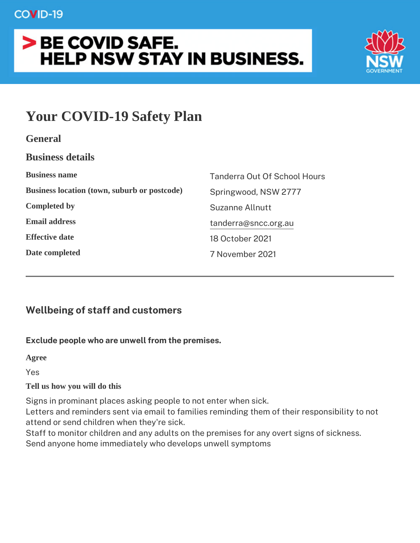# **COVID-19**

# > BE COVID SAFE. **HELP NSW STAY IN BUSINESS.**



# **Your COVID-19 Safety Plan**

| <b>Business details</b>                      |                                     |
|----------------------------------------------|-------------------------------------|
| <b>Business name</b>                         | <b>Tanderra Out Of School Hours</b> |
| Business location (town, suburb or postcode) | Springwood, NSW 2777                |
| <b>Completed by</b>                          | Suzanne Allnutt                     |
| <b>Email address</b>                         | tanderra@sncc.org.au                |
| <b>Effective date</b>                        | 18 October 2021                     |
| Date completed                               | 7 November 2021                     |

# **Wellbeing of staff and customers**

## **Exclude people who are unwell from the premises.**

**Agree**

Yes

## **Tell us how you will do this**

Signs in prominant places asking people to not enter when sick.

Letters and reminders sent via email to families reminding them of their responsibility to not attend or send children when they're sick.

Staff to monitor children and any adults on the premises for any overt signs of sickness. Send anyone home immediately who develops unwell symptoms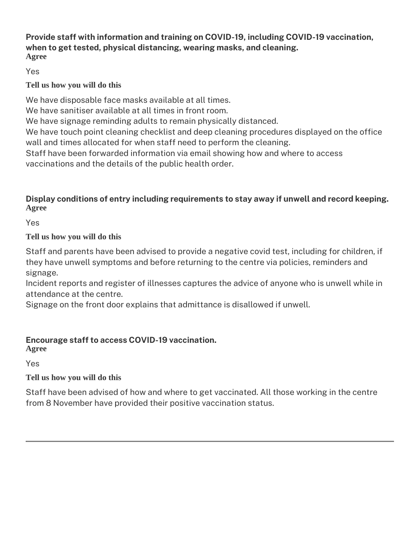#### **Provide staff with information and training on COVID-19, including COVID-19 vaccination, when to get tested, physical distancing, wearing masks, and cleaning. Agree**

Yes

## **Tell us how you will do this**

We have disposable face masks available at all times.

We have sanitiser available at all times in front room.

We have signage reminding adults to remain physically distanced.

We have touch point cleaning checklist and deep cleaning procedures displayed on the office wall and times allocated for when staff need to perform the cleaning.

Staff have been forwarded information via email showing how and where to access vaccinations and the details of the public health order.

## **Display conditions of entry including requirements to stay away if unwell and record keeping. Agree**

Yes

## **Tell us how you will do this**

Staff and parents have been advised to provide a negative covid test, including for children, if they have unwell symptoms and before returning to the centre via policies, reminders and signage.

Incident reports and register of illnesses captures the advice of anyone who is unwell while in attendance at the centre.

Signage on the front door explains that admittance is disallowed if unwell.

## **Encourage staff to access COVID-19 vaccination.**

**Agree**

Yes

## **Tell us how you will do this**

Staff have been advised of how and where to get vaccinated. All those working in the centre from 8 November have provided their positive vaccination status.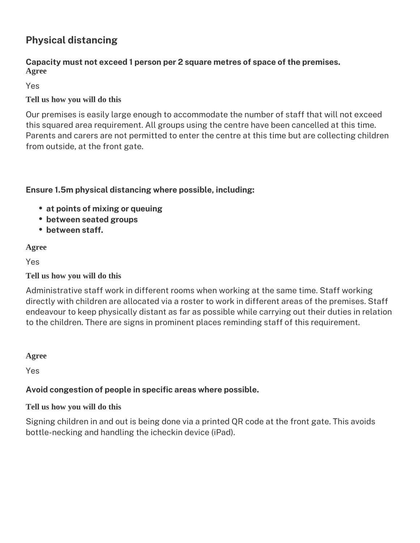# **Physical distancing**

#### **Capacity must not exceed 1 person per 2 square metres of space of the premises. Agree**

Yes

## **Tell us how you will do this**

Our premises is easily large enough to accommodate the number of staff that will not exceed this squared area requirement. All groups using the centre have been cancelled at this time. Parents and carers are not permitted to enter the centre at this time but are collecting children from outside, at the front gate.

## **Ensure 1.5m physical distancing where possible, including:**

- **at points of mixing or queuing**
- **between seated groups**
- **between staff.**

## **Agree**

Yes

**Tell us how you will do this**

Administrative staff work in different rooms when working at the same time. Staff working directly with children are allocated via a roster to work in different areas of the premises. Staff endeavour to keep physically distant as far as possible while carrying out their duties in relation to the children. There are signs in prominent places reminding staff of this requirement.

**Agree**

Yes

## **Avoid congestion of people in specific areas where possible.**

## **Tell us how you will do this**

Signing children in and out is being done via a printed QR code at the front gate. This avoids bottle-necking and handling the icheckin device (iPad).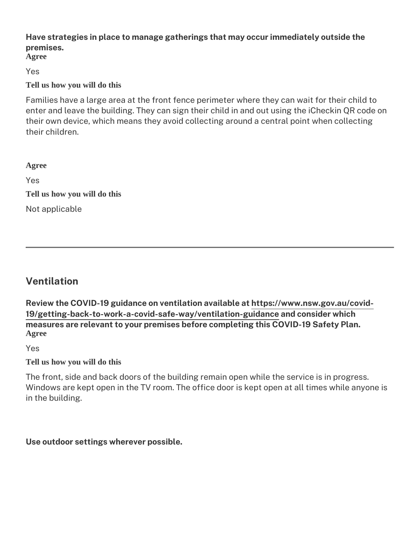## **Have strategies in place to manage gatherings that may occur immediately outside the premises.**

**Agree**

Yes

#### **Tell us how you will do this**

Families have a large area at the front fence perimeter where they can wait for their child to enter and leave the building. They can sign their child in and out using the iCheckin QR code on their own device, which means they avoid collecting around a central point when collecting their children.

Yes

**Tell us how you will do this** Not applicable

# **Ventilation**

**Review the COVID-19 guidance on ventilation available at [https://www.nsw.gov.au/covid-](http://at https://www.nsw.gov.au/covid-19/getting-back-to-work-a-covid-safe-way/ventilation-guidance)[19/getting-back-to-work-a-covid-safe-way/ventilation-guidance](http://at https://www.nsw.gov.au/covid-19/getting-back-to-work-a-covid-safe-way/ventilation-guidance) and consider which measures are relevant to your premises before completing this COVID-19 Safety Plan. Agree**

Yes

**Tell us how you will do this**

The front, side and back doors of the building remain open while the service is in progress. Windows are kept open in the TV room. The office door is kept open at all times while anyone is in the building.

**Use outdoor settings wherever possible.**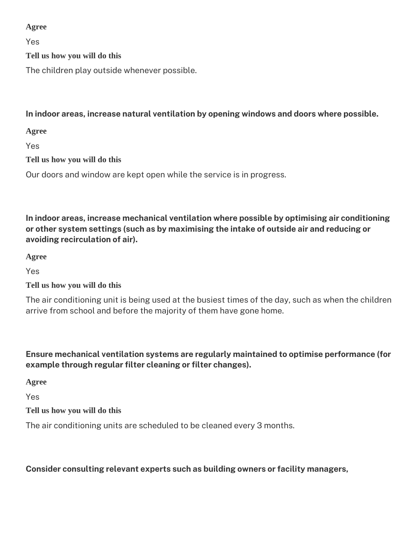#### **Agree**

Yes

**Tell us how you will do this**

The children play outside whenever possible.

## **In indoor areas, increase natural ventilation by opening windows and doors where possible.**

**Agree**

Yes

**Tell us how you will do this**

Our doors and window are kept open while the service is in progress.

**In indoor areas, increase mechanical ventilation where possible by optimising air conditioning or other system settings (such as by maximising the intake of outside air and reducing or avoiding recirculation of air).**

**Agree**

Yes

## **Tell us how you will do this**

The air conditioning unit is being used at the busiest times of the day, such as when the children arrive from school and before the majority of them have gone home.

## **Ensure mechanical ventilation systems are regularly maintained to optimise performance (for example through regular filter cleaning or filter changes).**

**Agree**

Yes

**Tell us how you will do this**

The air conditioning units are scheduled to be cleaned every 3 months.

## **Consider consulting relevant experts such as building owners or facility managers,**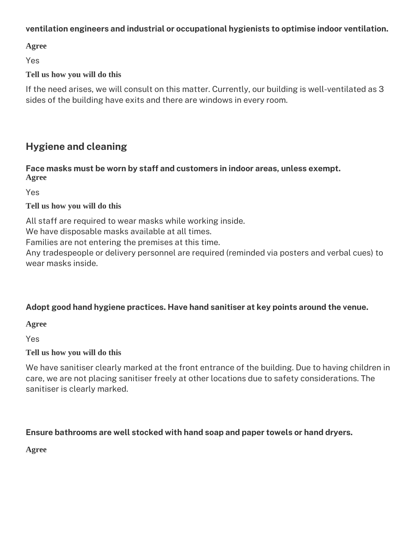#### **ventilation engineers and industrial or occupational hygienists to optimise indoor ventilation.**

**Agree**

Yes

#### **Tell us how you will do this**

If the need arises, we will consult on this matter. Currently, our building is well-ventilated as 3 sides of the building have exits and there are windows in every room.

## **Hygiene and cleaning**

#### **Face masks must be worn by staff and customers in indoor areas, unless exempt. Agree**

Yes

#### **Tell us how you will do this**

All staff are required to wear masks while working inside.

We have disposable masks available at all times.

Families are not entering the premises at this time.

Any tradespeople or delivery personnel are required (reminded via posters and verbal cues) to wear masks inside.

## **Adopt good hand hygiene practices. Have hand sanitiser at key points around the venue.**

**Agree**

Yes

## **Tell us how you will do this**

We have sanitiser clearly marked at the front entrance of the building. Due to having children in care, we are not placing sanitiser freely at other locations due to safety considerations. The sanitiser is clearly marked.

## **Ensure bathrooms are well stocked with hand soap and paper towels or hand dryers.**

**Agree**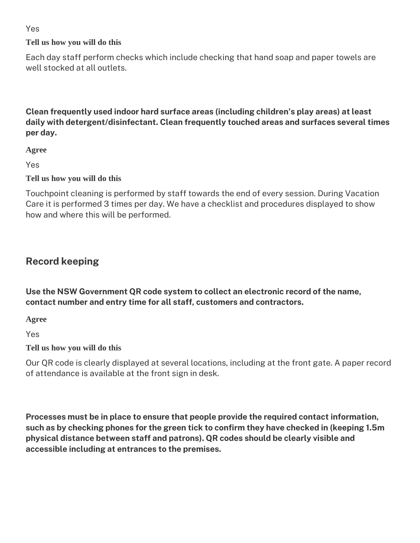#### Yes

#### **Tell us how you will do this**

Each day staff perform checks which include checking that hand soap and paper towels are well stocked at all outlets.

## **Clean frequently used indoor hard surface areas (including children's play areas) at least daily with detergent/disinfectant. Clean frequently touched areas and surfaces several times per day.**

**Agree**

Yes

#### **Tell us how you will do this**

Touchpoint cleaning is performed by staff towards the end of every session. During Vacation Care it is performed 3 times per day. We have a checklist and procedures displayed to show how and where this will be performed.

## **Record keeping**

**Use the NSW Government QR code system to collect an electronic record of the name, contact number and entry time for all staff, customers and contractors.**

**Agree**

Yes

#### **Tell us how you will do this**

Our QR code is clearly displayed at several locations, including at the front gate. A paper record of attendance is available at the front sign in desk.

**Processes must be in place to ensure that people provide the required contact information, such as by checking phones for the green tick to confirm they have checked in (keeping 1.5m physical distance between staff and patrons). QR codes should be clearly visible and accessible including at entrances to the premises.**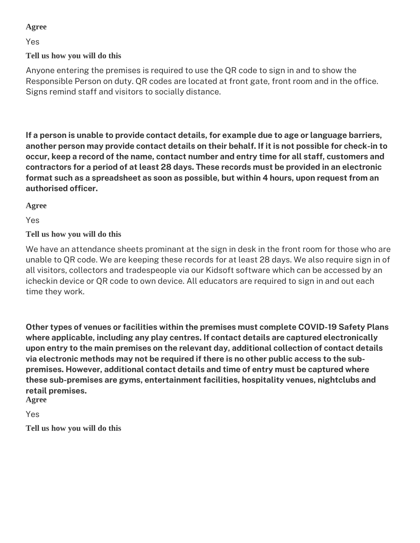#### **Agree**

Yes

**Tell us how you will do this**

Anyone entering the premises is required to use the QR code to sign in and to show the Responsible Person on duty. QR codes are located at front gate, front room and in the office. Signs remind staff and visitors to socially distance.

**If a person is unable to provide contact details, for example due to age or language barriers, another person may provide contact details on their behalf. If it is not possible for check-in to occur, keep a record of the name, contact number and entry time for all staff, customers and contractors for a period of at least 28 days. These records must be provided in an electronic format such as a spreadsheet as soon as possible, but within 4 hours, upon request from an authorised officer.** 

**Agree**

Yes

## **Tell us how you will do this**

We have an attendance sheets prominant at the sign in desk in the front room for those who are unable to QR code. We are keeping these records for at least 28 days. We also require sign in of all visitors, collectors and tradespeople via our Kidsoft software which can be accessed by an icheckin device or QR code to own device. All educators are required to sign in and out each time they work.

**Other types of venues or facilities within the premises must complete COVID-19 Safety Plans where applicable, including any play centres. If contact details are captured electronically upon entry to the main premises on the relevant day, additional collection of contact details via electronic methods may not be required if there is no other public access to the subpremises. However, additional contact details and time of entry must be captured where these sub-premises are gyms, entertainment facilities, hospitality venues, nightclubs and retail premises.**

**Agree**

Yes

**Tell us how you will do this**